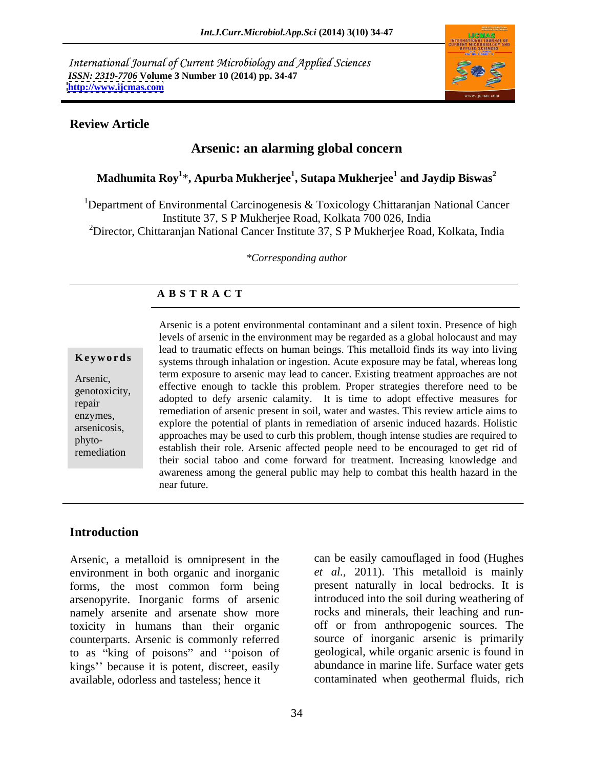International Journal of Current Microbiology and Applied Sciences *ISSN: 2319-7706* **Volume 3 Number 10 (2014) pp. 34-47 <http://www.ijcmas.com>**



### **Review Article**

# **Arsenic: an alarming global concern**

### $\mathbf{M}$ adhumita  $\mathbf{R}\mathbf{o}\mathbf{y}^{1*}$ ,  $\mathbf{A}\mathbf{p}$ urba  $\mathbf{M}$ ukherja  $\mathbf{M}$ ukherjee $^{1}$  and  $\mathbf{J}$ aydip  $\mathbf{B}$ iswas $^{2}$ **and Jaydip Biswas<sup>2</sup>**

<sup>1</sup>Department of Environmental Carcinogenesis & Toxicology Chittaranjan National Cancer Institute 37, S P Mukherjee Road, Kolkata 700 026, India <sup>2</sup>Director, Chittaranjan National Cancer Institute 37, S P Mukherjee Road, Kolkata, India

*\*Corresponding author* 

# **A B S T R A C T**

arsenicosis, phyto-

**Keywords** systems through inhalation or ingestion. Acute exposure may be fatal, whereas long Arsenic,<br>genotoxicity, effective enough to tackle this problem. Proper strategies therefore need to be<br>genotoxicity, repair adopted to dely arsente calarity. It is time to adopt effective measures for repair<br>enzymes, remediation of arsenic present in soil, water and wastes. This review article aims to establish their role. Arsenic affected people need to be encouraged to get rid of remediation Arsenic is a potent environmental contaminant and a silent toxin. Presence of high levels of arsenic in the environment may be regarded as a global holocaust and may lead to traumatic effects on human beings. This metalloid finds its way into living term exposure to arsenic may lead to cancer. Existing treatment approaches are not adopted to defy arsenic calamity. It is time to adopt effective measures for explore the potential of plants in remediation of arsenic induced hazards. Holistic approaches may be used to curb this problem, though intense studies are required to their social taboo and come forward for treatment. Increasing knowledge and awareness among the general public may help to combat this health hazard in the near future.

## **Introduction**

Arsenic, a metalloid is omnipresent in the environment in both organic and inorganic forms, the most common form being arsenopyrite. Inorganic forms of arsenic namely arsenite and arsenate show more toxicity in humans than their organic counterparts. Arsenic is commonly referred to as "king of poisons" and "poison of kings" because it is potent, discreet, easily available, odorless and tasteless; hence it contaminated when geothermal fluids, rich

can be easily camouflaged in food (Hughes *et al.,* 2011). This metalloid is mainly present naturally in local bedrocks. It is introduced into the soil during weathering of rocks and minerals, their leaching and run off or from anthropogenic sources. The source of inorganic arsenic is primarily geological, while organic arsenic is found in abundance in marine life. Surface water gets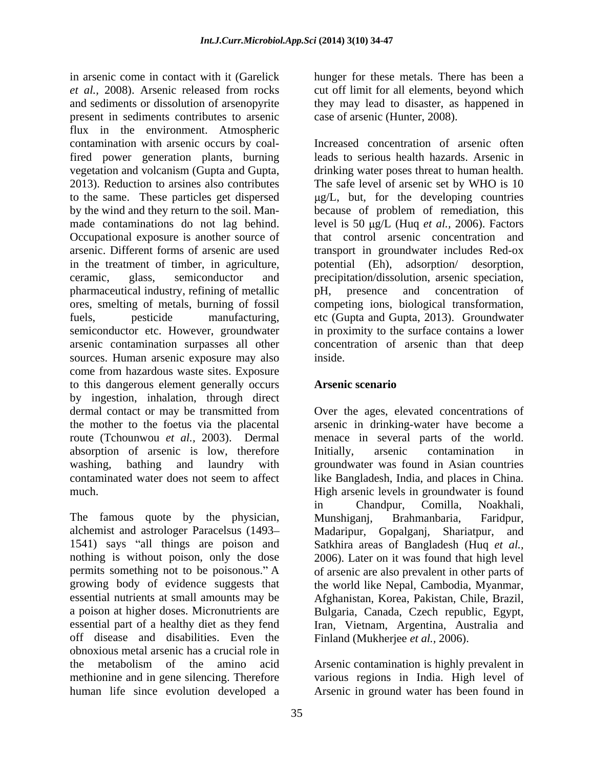in arsenic come in contact with it (Garelick hunger for these metals. There has been a *et al.,* 2008). Arsenic released from rocks and sediments or dissolution of arsenopyrite they may lead to disaster, as happened in present in sediments contributes to arsenic flux in the environment. Atmospheric contamination with arsenic occurs by coalfired power generation plants, burning in the treatment of timber, in agriculture, potential (Eh), pharmaceutical industry, refining of metallic sources. Human arsenic exposure may also inside. come from hazardous waste sites. Exposure to this dangerous element generally occurs by ingestion, inhalation, through direct the mother to the foetus via the placental route (Tchounwou *et al.,* 2003). Dermal absorption of arsenic is low, therefore Initially, arsenic contamination in

The famous quote by the physician, Munshigani, Brahmanbaria, Faridpur, 1541) says "all things are poison and off disease and disabilities. Even the obnoxious metal arsenic has a crucial role in the metabolism of the amino acid Arsenic contamination is highly prevalent in methionine and in gene silencing. Therefore various regions in India. High level of human life since evolution developed a Arsenic in ground waterhas been found in

cut off limit for all elements, beyond which case of arsenic (Hunter, 2008).

vegetation and volcanism (Gupta and Gupta, drinking water poses threat to human health. 2013). Reduction to arsines also contributes The safe level of arsenic set by WHO is 10 to the same. These particles get dispersed  $\mu g/L$ , but, for the developing countries by the wind and they return to the soil. Man- because of problem of remediation, this made contaminations do not lag behind. level is 50  $\mu$ g/L (Huq *et al.*, 2006). Factors Occupational exposure is another source of that control arsenic concentration and arsenic. Different forms of arsenic are used transport in groundwater includes Red-ox ceramic, glass, semiconductor and precipitation/dissolution, arsenic speciation, ores, smelting of metals, burning of fossil competing ions, biological transformation, fuels, pesticide manufacturing, etc (Gupta and Gupta, 2013). Groundwater semiconductor etc. However, groundwater in proximity to the surface contains a lower arsenic contamination surpasses all other concentration of arsenic than that deep Increased concentration of arsenic often leads to serious health hazards. Arsenic in adsorption/ desorption, pH, presence and concentration of inside.

# **Arsenic scenario**

dermal contact or may be transmitted from Over the ages, elevated concentrations of washing, bathing and laundry with groundwater was found in Asian countries contaminated water does not seem to affect like Bangladesh, India, and places in China. much. High arsenic levels in groundwater is found alchemist and astrologer Paracelsus (1493 Madaripur, Gopalganj, Shariatpur, and nothing is without poison, only the dose 2006). Later on it was found that high level permits something not to be poisonous." A correct are also prevalent in other parts of growing body of evidence suggests that the world like Nepal, Cambodia, Myanmar, essential nutrients at small amounts may be Afghanistan, Korea, Pakistan, Chile, Brazil, a poison at higher doses. Micronutrients are Bulgaria, Canada, Czech republic, Egypt, essential part of a healthy diet as they fend Iran, Vietnam, Argentina, Australia and arsenic in drinking-water have become a menace in several parts of the world. Initially, arsenic contamination in in Chandpur, Comilla, Noakhali, Munshiganj, Brahmanbaria, Faridpur, Satkhira areas of Bangladesh (Huq *et al.,* Finland (Mukherjee *et al.,* 2006).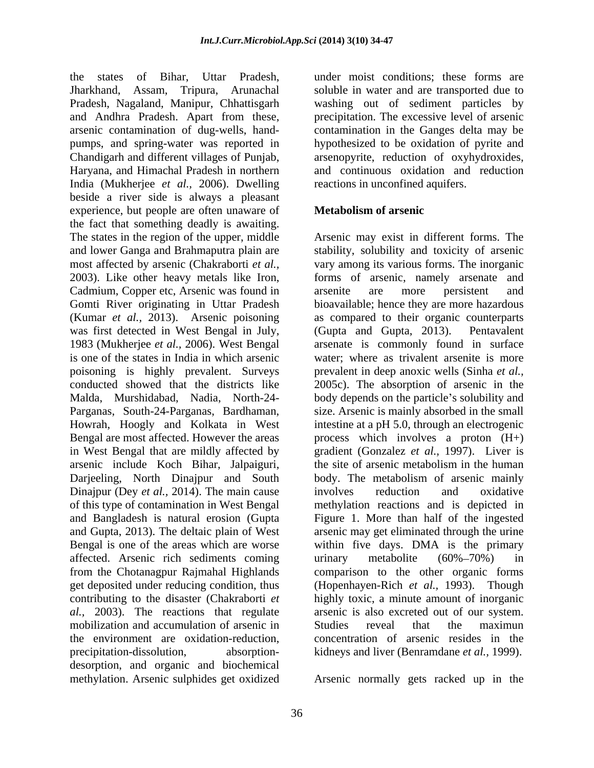the states of Bihar, Uttar Pradesh, under moist conditions; these forms are Jharkhand, Assam, Tripura, Arunachal soluble in water and are transported due to Pradesh, Nagaland, Manipur, Chhattisgarh washing out of sediment particles by and Andhra Pradesh. Apart from these, precipitation. The excessive level of arsenic arsenic contamination of dug-wells, hand pumps, and spring-water was reported in Chandigarh and different villages of Punjab, Haryana, and Himachal Pradesh in northern India (Mukherjee *et al.,* 2006). Dwelling beside a river side is always a pleasant experience, but people are often unaware of **Metabolism of arsenic** the fact that something deadly is awaiting. The states in the region of the upper, middle Cadmium, Copper etc, Arsenic was found in arsenite are more persistent and was first detected in West Bengal in July, (Gupta and Gupta, 2013). Pentavalent poisoning is highly prevalent. Surveys Darjeeling, North Dinajpur and South Dinajpur (Dey *et al.*, 2014). The main cause involves reduction and oxidative of this type of contamination in West Bengal affected. Arsenic rich sediments coming urinary metabolite (60%-70%) in *al.,* 2003). The reactions that regulate mobilization and accumulation of arsenic in Studies reveal that the maximun precipitation-dissolution, absorption- kidneys and liver (Benramdane *et al.,* 1999). desorption, and organic and biochemical

contamination in the Ganges delta may be hypothesized to be oxidation of pyrite and arsenopyrite, reduction of oxyhydroxides, and continuous oxidation and reduction reactions in unconfined aquifers.

## **Metabolism of arsenic**

and lower Ganga and Brahmaputra plain are stability, solubility and toxicity of arsenic most affected by arsenic (Chakraborti *et al.,* vary among its various forms. The inorganic 2003). Like other heavy metals like Iron, forms of arsenic, namely arsenate and Gomti River originating in Uttar Pradesh bioavailable; hence they are more hazardous (Kumar *et al.,* 2013). Arsenic poisoning as compared to their organic counterparts 1983 (Mukherjee *et al.,* 2006). West Bengal arsenate is commonly found in surface is one of the states in India in which arsenic water; where as trivalent arsenite is more conducted showed that the districts like 2005c). The absorption of arsenic in the Malda, Murshidabad, Nadia, North-24- body depends on the particle's solubility and Parganas, South-24-Parganas, Bardhaman, size. Arsenic is mainly absorbed in the small Howrah, Hoogly and Kolkata in West intestine at a pH 5.0, through an electrogenic Bengal are most affected. However the areas process which involves a proton (H+) in West Bengal that are mildly affected by gradient (Gonzalez *et al.,* 1997). Liver is arsenic include Koch Bihar, Jalpaiguri, the site of arsenic metabolism in the human and Bangladesh is natural erosion (Gupta Figure 1. More than half of the ingested and Gupta, 2013). The deltaic plain of West arsenic may get eliminated through the urine Bengal is one of the areas which are worse within five days. DMA is the primary from the Chotanagpur Rajmahal Highlands comparison to the other organic forms get deposited under reducing condition, thus (Hopenhayen-Rich *et al.,* 1993). Though contributing to the disaster (Chakraborti *et*  highly toxic, a minute amount of inorganic the environment are oxidation-reduction, concentration of arsenic resides in the Arsenic may exist in different forms. The arsenite are more persistent and (Gupta and Gupta,  $2013$ ). prevalent in deep anoxic wells (Sinha *et al.,* body. The metabolism of arsenic mainly involves reduction and oxidative methylation reactions and is depicted in urinary metabolite (60% 70%) in arsenic is also excreted out of our system. Studies reveal that the maximun

methylation. Arsenic sulphides get oxidized Arsenic normally gets racked up in the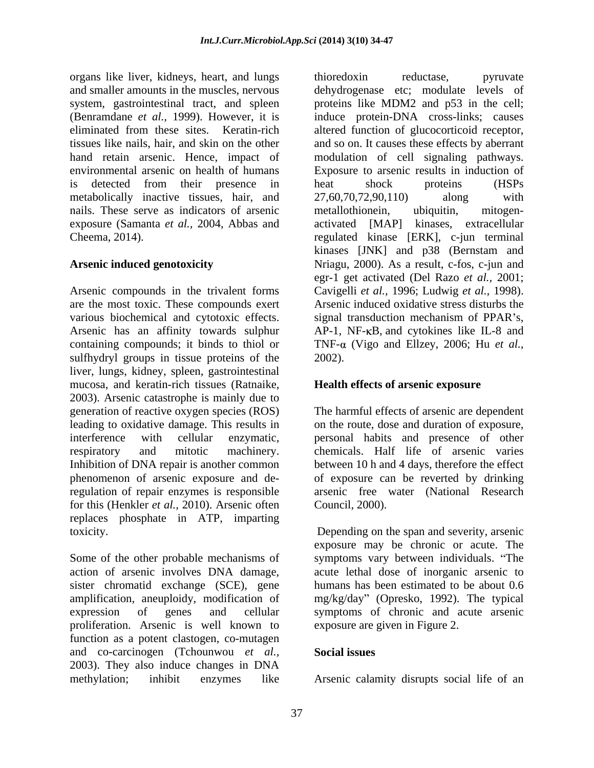organs like liver, kidneys, heart, and lungs and smaller amounts in the muscles, nervous dehydrogenase etc; modulate levels of system, gastrointestinal tract, and spleen proteins like MDM2 and p53 in the cell; (Benramdane *et al.,* 1999). However, it is induce protein-DNA cross-links; causes eliminated from these sites. Keratin-rich altered function of glucocorticoid receptor, tissues like nails, hair, and skin on the other and so on. It causes these effects by aberrant hand retain arsenic. Hence, impact of modulation of cell signaling pathways. environmental arsenic on health of humans Exposure to arsenic results in induction of is detected from their presence in heat shock proteins (HSPs metabolically inactive tissues, hair, and  $27.60,70.72,90.110$  along with nails. These serve as indicators of arsenic metallothionein, ubiquitin, mitogenexposure (Samanta *et al.,* 2004, Abbas and Cheema, 2014). regulated kinase [ERK], c-jun terminal

Arsenic compounds in the trivalent forms Cavigelli *et al.,* 1996; Ludwig *et al.,* 1998). are the most toxic. These compounds exert various biochemical and cytotoxic effects. signal transduction mechanism of PPAR's, Arsenic has an affinity towards sulphur AP-1, NF- $\kappa$ B, and cytokines like IL-8 and containing compounds; it binds to thiol or TNF-α (Vigo and Ellzey, 2006; Hu *et al.*, sulfhydryl groups in tissue proteins of the 2002). liver, lungs, kidney, spleen, gastrointestinal mucosa, and keratin-rich tissues (Ratnaike, 2003). Arsenic catastrophe is mainly due to generation of reactive oxygen species (ROS) leading to oxidative damage. This results in on the route, dose and duration of exposure, interference with cellular enzymatic, personal habits and presence of other respiratory and mitotic machinery. chemicals. Half life of arsenic varies Inhibition of DNA repair is another common between 10 h and 4 days, therefore the effect phenomenon of arsenic exposure and de-of exposure can be reverted by drinking regulation of repair enzymes is responsible arsenic free water (National Research for this (Henkler *et al.,* 2010). Arsenic often replaces phosphate in ATP, imparting toxicity. Depending on the span and severity, arsenic

Some of the other probable mechanisms of symptoms vary between individuals. "The action of arsenic involves DNA damage, acute lethal dose of inorganic arsenic to sister chromatid exchange (SCE), gene humans has been estimated to be about 0.6 amplification, aneuploidy, modification of mg/kg/day" (Opresko, 1992). The typical expression of genes and cellular symptoms of chronic and acute arsenic proliferation. Arsenic is well known to function as a potent clastogen, co-mutagen and co-carcinogen (Tchounwou *et al.,* 2003). They also induce changes in DNA

**Arsenic induced genotoxicity** Nriagu, 2000). As a result, c-fos, c-jun and thioredoxin reductase, pyruvate heat shock proteins (HSPs 27,60,70,72,90,110) along with metallothionein, ubiquitin, mitogen activated [MAP] kinases, extracellular kinases [JNK] and p38 (Bernstam and egr-1 get activated (Del Razo *et al.,* 2001; Arsenic induced oxidative stress disturbs the signal transduction mechanism of PPAR's, 2002).

### **Health effects of arsenic exposure**

The harmful effects of arsenic are dependent Council, 2000).

exposure may be chronic or acute. The acute lethal dose of inorganic arsenic to humans has been estimated to be about 0.6 exposure are given in Figure 2.

### **Social issues**

methylation; inhibit enzymes like Arsenic calamity disrupts social life of an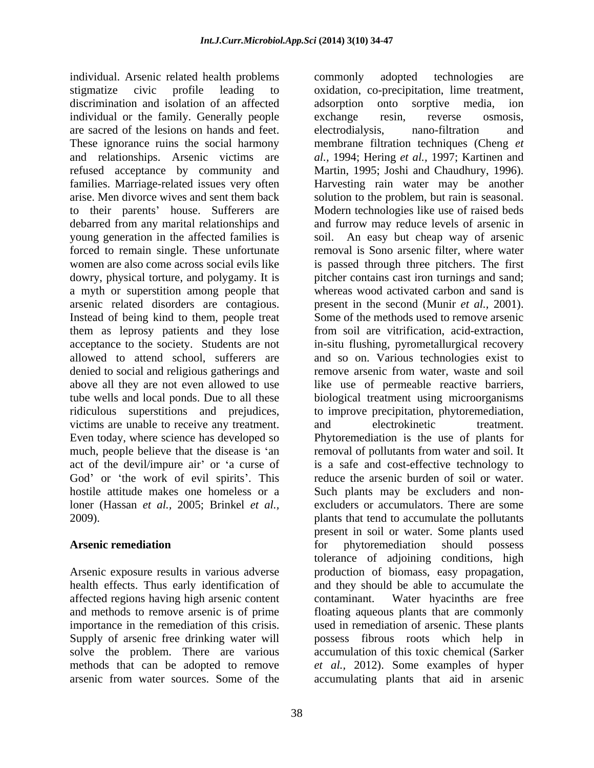individual. Arsenic related health problems discrimination and isolation of an affected adsorption onto sorptive media, ion individual or the family. Generally people exchange resin, reverse osmosis, are sacred of the lesions on hands and feet. refused acceptance by community and Martin, 1995; Joshi and Chaudhury, 1996). families. Marriage-related issues very often Harvesting rain water may be another to their parents' house. Sufferers are debarred from any marital relationships and forced to remain single. These unfortunate a myth or superstition among people that arsenic related disorders are contagious. Instead of being kind to them, people treat them as leprosy patients and they lose from soil are vitrification, acid-extraction, denied to social and religious gatherings and remove arsenic from water, waste and soil victims are unable to receive any treatment. and electrokinetic treatment. Even today, where science has developed so

affected regions having high arsenic content Supply of arsenic free drinking water will

stigmatize civic profile leading to oxidation, co-precipitation, lime treatment, These ignorance ruins the social harmony membrane filtration techniques (Cheng *et*  and relationships. Arsenic victims are *al.,* 1994; Hering *et al.,* 1997; Kartinen and arise. Men divorce wives and sent them back solution to the problem, but rain is seasonal. young generation in the affected families is soil. An easy but cheap way of arsenic women are also come across social evils like is passed through three pitchers. The first dowry, physical torture, and polygamy. It is pitcher contains cast iron turnings and sand; acceptance to the society. Students are not in-situ flushing, pyrometallurgical recovery allowed to attend school, sufferers are and so on. Various technologies exist to above all they are not even allowed to use like use of permeable reactive barriers, tube wells and local ponds. Due to all these biological treatment using microorganisms ridiculous superstitions and prejudices, to improve precipitation, phytoremediation, much, people believe that the disease is 'an a removal of pollutants from water and soil. It act of the devil/impure air' or 'a curse of is a safe and cost-effective technology to God' or 'the work of evil spirits'. This reduce the arsenic burden of soil or water. hostile attitude makes one homeless or a Such plants may be excluders and nonloner (Hassan *et al.,* 2005; Brinkel *et al.,* excluders or accumulators. There are some 2009). plants that tend to accumulate the pollutants Arsenic remediation and the state of the state of the phytoremediation should possess Arsenic exposure results in various adverse production of biomass, easy propagation, health effects. Thus early identification of and they should be able to accumulate the and methods to remove arsenic is of prime floating aqueous plants that are commonly importance in the remediation of this crisis. used in remediation of arsenic. These plants solve the problem. There are various accumulation of this toxic chemical (Sarker methods that can be adopted to remove *et al.,* 2012).Some examples of hyper arsenic from water sources. Some of the accumulating plants that aid in arseniccommonly adopted technologies are adsorption onto sorptive media, ion exchange resin, reverse osmosis, electrodialysis, nano-filtration and Martin, 1995; Joshi and Chaudhury, 1996). Harvesting rain water may be another Modern technologies like use of raised beds and furrow may reduce levels of arsenic in removal is Sono arsenic filter, where water whereas wood activated carbon and sand is present in the second (Munir *et al.,* 2001). Some of the methods used to remove arsenic from soil are vitrification, acid-extraction, remove arsenic from water, waste and soil and electrokinetic treatment. Phytoremediation is the use of plants for present in soil or water. Some plants used for phytoremediation should possess tolerance of adjoining conditions, high contaminant. Water hyacinths are free possess fibrous roots which help in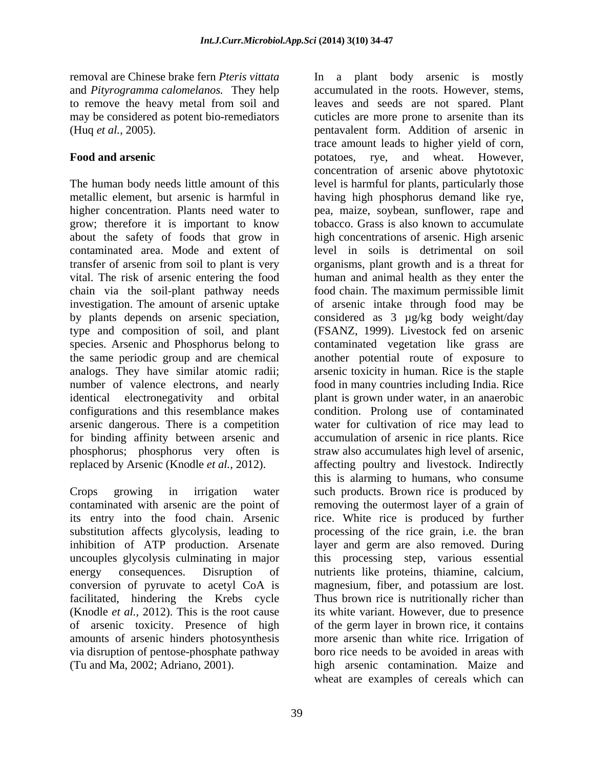removal are Chinese brake fern *Pteris vittata* In a plant body arsenic is mostly and *Pityrogramma calomelanos.* They help accumulated in the roots. However, stems, to remove the heavy metal from soil and leaves and seeds are not spared. Plant

higher concentration. Plants need water to grow; therefore it is important to know type and composition of soil, and plant arsenic dangerous. There is a competition phosphorus; phosphorus very often is

substitution affects glycolysis, leading to amounts of arsenic hinders photosynthesis

may be considered as potent bio-remediators cuticles are more prone to arsenite than its (Huq *et al.,* 2005). pentavalent form. Addition of arsenic in Food and arsenic **Food and arsenic Food and arsenic Food and arsenic Food and arsenic Food and arsenic Food and arsenic Food and arsenic Food and arsenic Food and arsenic Food and arsenic Food and arsen** The human body needs little amount of this level is harmful for plants, particularly those metallic element, but arsenic is harmful in having high phosphorus demand like rye, about the safety of foods that grow in high concentrations of arsenic. High arsenic contaminated area. Mode and extent of level in soils is detrimental on soil transfer of arsenic from soil to plant is very organisms, plant growth and is a threat for vital. The risk of arsenic entering the food human and animal health as they enter the chain via the soil-plant pathway needs food chain. The maximum permissible limit investigation. The amount of arsenic uptake of arsenic intake through food may be by plants depends on arsenic speciation, considered as 3 µg/kg body weight/day species. Arsenic and Phosphorus belong to contaminated vegetation like grass are the same periodic group and are chemical another potential route of exposure to analogs. They have similar atomic radii; arsenic toxicity in human. Rice is the staple number of valence electrons, and nearly food in many countries including India. Rice identical electronegativity and orbital plant is grown under water, in an anaerobic configurations and this resemblance makes condition. Prolong use of contaminated for binding affinity between arsenic and accumulation of arsenic in rice plants. Rice replaced by Arsenic (Knodle *et al.,* 2012). affecting poultry and livestock. Indirectly Crops growing in irrigation water such products. Brown rice is produced by contaminated with arsenic are the point of removing the outermost layer of a grain of its entry into the food chain. Arsenic rice. White rice is produced by further inhibition of ATP production. Arsenate layer and germ are also removed. During uncouples glycolysis culminating in major this processing step, various essential energy consequences. Disruption of nutrients like proteins, thiamine, calcium, conversion of pyruvate to acetyl CoA is magnesium, fiber, and potassium are lost. facilitated, hindering the Krebs cycle Thus brown rice is nutritionally richer than (Knodle *et al.,* 2012). This is the root cause its white variant. However, due to presence of arsenic toxicity. Presence of high of the germ layer in brown rice, it contains via disruption of pentose-phosphate pathway boro rice needs to be avoided in areas with (Tu and Ma, 2002; Adriano, 2001). high arsenic contamination. Maize and trace amount leads to higher yield of corn, potatoes, rye, and wheat. However, concentration of arsenic above phytotoxic pea, maize, soybean, sunflower, rape and tobacco. Grass is also known to accumulate (FSANZ, 1999). Livestock fed on arsenic water for cultivation of rice may lead to straw also accumulates high level of arsenic, this is alarming to humans, who consume processing of the rice grain, i.e. the bran more arsenic than white rice. Irrigation of wheat are examples of cereals which can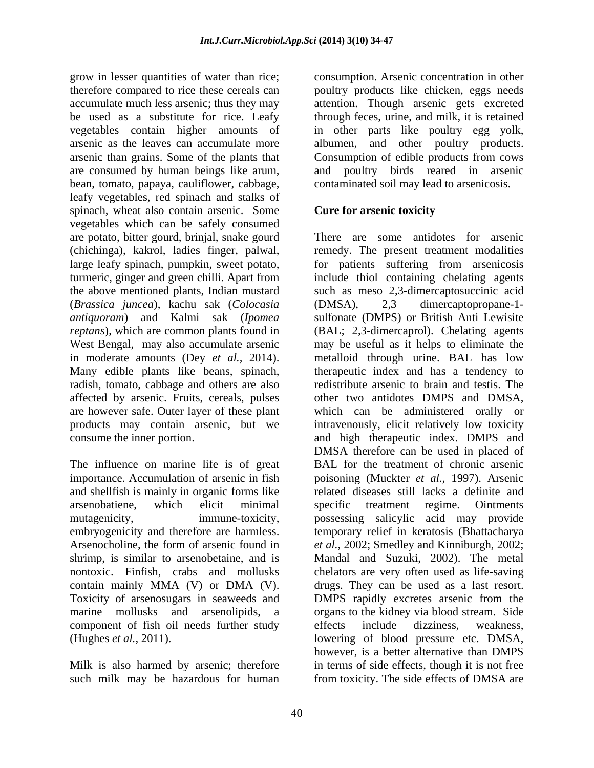grow in lesser quantities of water than rice; consumption. Arsenic concentration in other therefore compared to rice these cereals can boultry products like chicken, eggs needs accumulate much less arsenic; thus they may attention. Though arsenic gets excreted be used as a substitute for rice. Leafy through feces, urine, and milk, it is retained vegetables contain higher amounts of in other parts like poultry egg yolk, arsenic as the leaves can accumulate more albumen, and other poultry products. arsenic than grains. Some of the plants that Consumption of edible products from cows are consumed by human beings like arum, and poultry birds reared in arsenic bean, tomato, papaya, cauliflower, cabbage, leafy vegetables, red spinach and stalks of spinach, wheat also contain arsenic. Some vegetables which can be safely consumed are potato, bitter gourd, brinjal, snake gourd large leafy spinach, pumpkin, sweet potato, (*Brassica juncea*), kachu sak (*Colocasia*  in moderate amounts (Dey *et al.,* 2014). Many edible plants like beans, spinach, radish, tomato, cabbage and others are also affected by arsenic. Fruits, cereals, pulses

importance. Accumulation of arsenic in fish and shellfish is mainly in organic forms like Arsenocholine, the form of arsenic found in component of fish oil needs further study effects include dizziness, weakness,

such milk may be hazardous for human from toxicity. The side effects of DMSA are

contaminated soil may lead to arsenicosis.

# **Cure for arsenic toxicity**

(chichinga), kakrol, ladies finger, palwal, remedy. The present treatment modalities turmeric, ginger and green chilli. Apart from include thiol containing chelating agents the above mentioned plants, Indian mustard such as meso 2,3-dimercaptosuccinic acid *antiquoram*) and Kalmi sak (*Ipomea*  sulfonate (DMPS) or British Anti Lewisite *reptans*), which are common plants found in (BAL; 2,3-dimercaprol). Chelating agents West Bengal, may also accumulate arsenic may be useful as it helps to eliminate the are however safe. Outer layer of these plant which can be administered orally or products may contain arsenic, but we intravenously, elicit relatively low toxicity consume the inner portion. and high therapeutic index. DMPS and The influence on marine life is of great BAL for the treatment of chronic arsenic arsenobatiene, which elicit minimal mutagenicity, immune-toxicity, possessing salicylic acid may provide embryogenicity and therefore are harmless. temporary relief in keratosis (Bhattacharya shrimp, is similar to arsenobetaine, and is Mandal and Suzuki, 2002). The metal nontoxic. Finfish, crabs and mollusks chelators are very often used as life-saving contain mainly MMA (V) or DMA (V). drugs. They can be used as a last resort. Toxicity of arsenosugars in seaweeds and DMPS rapidly excretes arsenic from the marine mollusks and arsenolipids, a organs to the kidney via blood stream. Side (Hughes *et al.*, 2011). lowering of blood pressure etc. DMSA,<br>however, is a better alternative than DMPS<br>Milk is also harmed by arsenic; therefore in terms of side effects, though it is not free There are some antidotes for arsenic for patients suffering from arsenicosis (DMSA), 2,3 dimercaptopropane-1 metalloid through urine. BAL has low therapeutic index and has a tendency to redistribute arsenic to brain and testis. The other two antidotes DMPS and DMSA, DMSA therefore can be used in placed of poisoning (Muckter *et al.,* 1997). Arsenic related diseases still lacks a definite and specific treatment regime. Ointments *et al.,* 2002; Smedley and Kinniburgh, 2002; effects include dizziness, weakness, lowering of blood pressure etc. DMSA, however, is a better alternative than DMPS in terms of side effects, though it is not free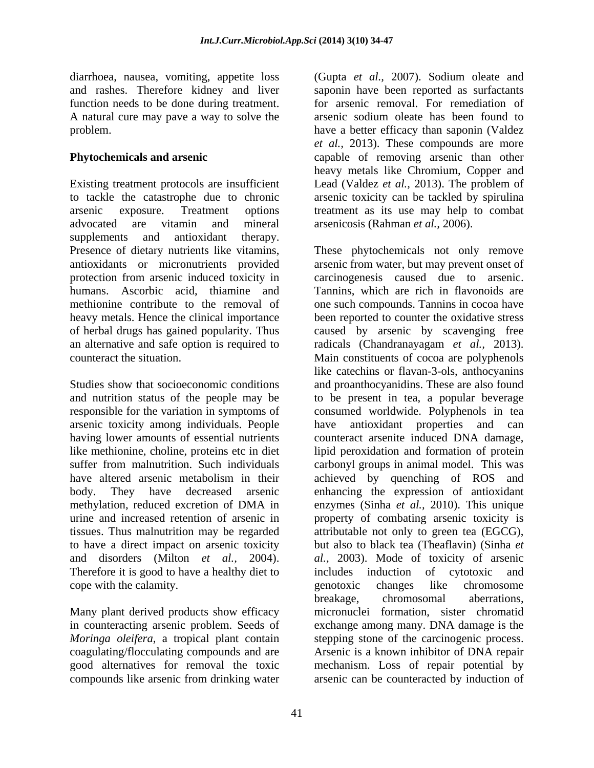diarrhoea, nausea, vomiting, appetite loss

supplements and antioxidant therapy.

arsenic toxicity among individuals. People have antioxidant properties and can having lower amounts of essential nutrients counteract arsenite induced DNA damage, tissues. Thus malnutrition may be regarded Therefore it is good to have a healthy diet to includes induction of cytotoxic and cope with the calamity. The example of the contract changes like chromosome

*Moringa oleifera*, a tropical plant contain stepping stone of the carcinogenic process. coagulating/flocculating compounds and are <br>Arsenic is a known inhibitor of DNA repair compounds like arsenic from drinking water arsenic can be counteracted by induction of

and rashes. Therefore kidney and liver saponin have been reported as surfactants function needs to be done during treatment. for arsenic removal. For remediation of A natural cure may pave a way to solve the arsenic sodium oleate has been found to problem. have a better efficacy than saponin (Valdez **Phytochemicals and arsenic** capable of removing arsenic than other Existing treatment protocols are insufficient Lead (Valdez *et al.,* 2013). The problem of to tackle the catastrophe due to chronic arsenic toxicity can be tackled by spirulina arsenic exposure. Treatment options treatment as its use may help to combat advocated are vitamin and mineral arsenicosis (Rahman *et al.*, 2006). (Gupta *et al.,* 2007). Sodium oleate and *et al.,* 2013). These compounds are more heavy metals like Chromium, Copper and

Presence of dietary nutrients like vitamins, These phytochemicals not only remove antioxidants or micronutrients provided arsenic from water, but may prevent onset of protection from arsenic induced toxicity in carcinogenesis caused due to arsenic. humans. Ascorbic acid, thiamine and Tannins, which are rich in flavonoids are methionine contribute to the removal of one such compounds. Tannins in cocoa have heavy metals. Hence the clinical importance been reported to counter the oxidative stress of herbal drugs has gained popularity. Thus caused by arsenic by scavenging free an alternative and safe option is required to radicals (Chandranayagam *et al.*, 2013). counteract the situation. Main constituents of cocoa are polyphenols Studies show that socioeconomic conditions and proanthocyanidins. These are also found and nutrition status of the people may be to be present in tea, a popular beverage responsible for the variation in symptoms of consumed worldwide. Polyphenols in tea having lower amounts of essential nutrients counteract arsenite induced DNA damage, like methionine, choline, proteins etc in diet lipid peroxidation and formation of protein suffer from malnutrition. Such individuals carbonyl groups in animal model. This was have altered arsenic metabolism in their achieved by quenching of ROS and body. They have decreased arsenic enhancing the expression of antioxidant methylation, reduced excretion of DMA in enzymes (Sinha *et al.,* 2010). This unique urine and increased retention of arsenic in property of combating arsenic toxicity is to have a direct impact on arsenic toxicity but also to black tea (Theaflavin) (Sinha *et*  and disorders (Milton *et al.,* 2004). *al.,* 2003). Mode of toxicity of arsenic breakage, chromosomal aberrations,<br>Many plant derived products show efficacy micronuclei formation, sister chromatid in counteracting arsenic problem. Seeds of exchange among many. DNA damage is the good alternatives for removal the toxic mechanism. Loss of repair potential by like catechins or flavan-3-ols, anthocyanins antioxidant properties and attributable not only to green tea (EGCG), includes induction of cytotoxic and genotoxic changes like chromosome breakage, chromosomal aberrations, micronuclei formation, sister chromatid stepping stone of the carcinogenic process. Arsenic is <sup>a</sup> known inhibitor of DNA repair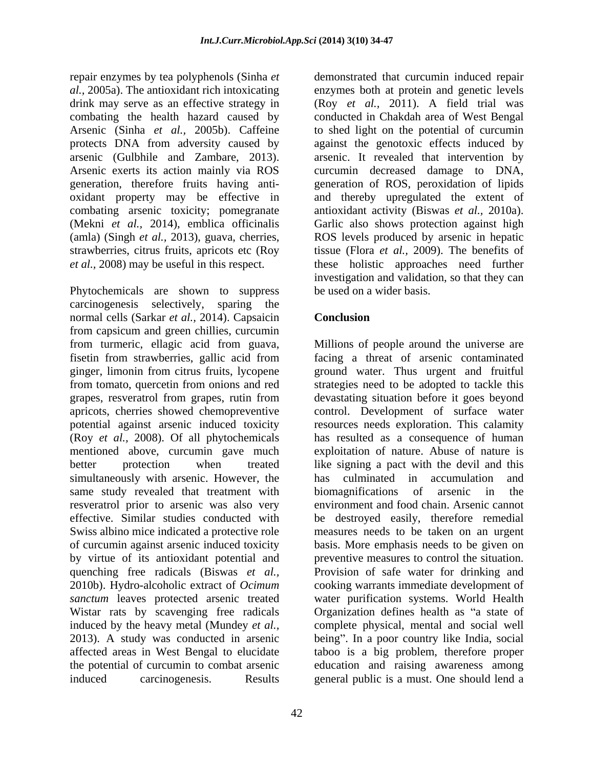repair enzymes by tea polyphenols (Sinha *et*  Arsenic (Sinha *et al.,* 2005b). Caffeine Arsenic exerts its action mainly via ROS

Phytochemicals are shown to suppress carcinogenesis selectively, sparing the normal cells (Sarkar *et al.,* 2014). Capsaicin from capsicum and green chillies, curcumin from turmeric, ellagic acid from guava, Millions of people around the universe are fisetin from strawberries, gallic acid from facing a threat of arsenic contaminated ginger, limonin from citrus fruits, lycopene ground water. Thus urgent and fruitful from tomato, quercetin from onions and red strategies need to be adopted to tackle this grapes, resveratrol from grapes, rutin from devastating situation before it goes beyond apricots, cherries showed chemopreventive control. Development of surface water potential against arsenic induced toxicity resources needs exploration. This calamity (Roy *et al.,* 2008). Of all phytochemicals has resulted as a consequence of human mentioned above, curcumin gave much exploitation of nature. Abuse of nature is better protection when treated like signing a pact with the devil and this simultaneously with arsenic. However, the has culminated in accumulation and same study revealed that treatment with biomagnifications of arsenic in the resveratrol prior to arsenic was also very environment and food chain. Arsenic cannot effective. Similar studies conducted with be destroyed easily, therefore remedial Swiss albino mice indicated a protective role measures needs to be taken on an urgent of curcumin against arsenic induced toxicity basis. More emphasis needs to be given on by virtue of its antioxidant potential and preventive measures to control the situation. quenching free radicals (Biswas *et al.,* Provision of safe water for drinking and 2010b). Hydro-alcoholic extract of *Ocimum*  cooking warrants immediate development of *sanctum* leaves protected arsenic treated water purification systems. World Health Wistar rats by scavenging free radicals induced by the heavy metal (Mundey  $et al.,$ induced by the heavy metal (Mundey *et al.,* complete physical, mental and social well 2013). A study was conducted in arsenic being". In a poor country like India, social affected areas in West Bengal to elucidate taboo is a big problem, therefore proper the potential of curcumin to combat arsenic education and raising awareness among induced carcinogenesis. Results general public is a must. One should lend a

*al.,* 2005a). The antioxidant rich intoxicating enzymes both at protein and genetic levels drink may serve as an effective strategy in (Roy *et al.,* 2011). A field trial was combating the health hazard caused by conducted in Chakdah area of West Bengal protects DNA from adversity caused by against the genotoxic effects induced by arsenic (Gulbhile and Zambare, 2013). arsenic. It revealed that intervention by generation, therefore fruits having anti- generation of ROS, peroxidation of lipids oxidant property may be effective in and thereby upregulated the extent of combating arsenic toxicity; pomegranate antioxidant activity (Biswas *et al.,* 2010a). (Mekni *et al.,* 2014), emblica officinalis Garlic also shows protection against high (amla) (Singh *et al.,* 2013), guava, cherries, ROS levels produced by arsenic in hepatic strawberries, citrus fruits, apricots etc (Roy tissue (Flora *et al.,* 2009).The benefits of *et al.*, 2008) may be useful in this respect. these holistic approaches need further demonstrated that curcumin induced repair to shed light on the potential of curcumin curcumin decreased damage to DNA, investigation and validation, so that they can be used on a wider basis.

# **Conclusion**

has culminated in accumulation biomagnifications of arsenic in the Organization defines health as "a state of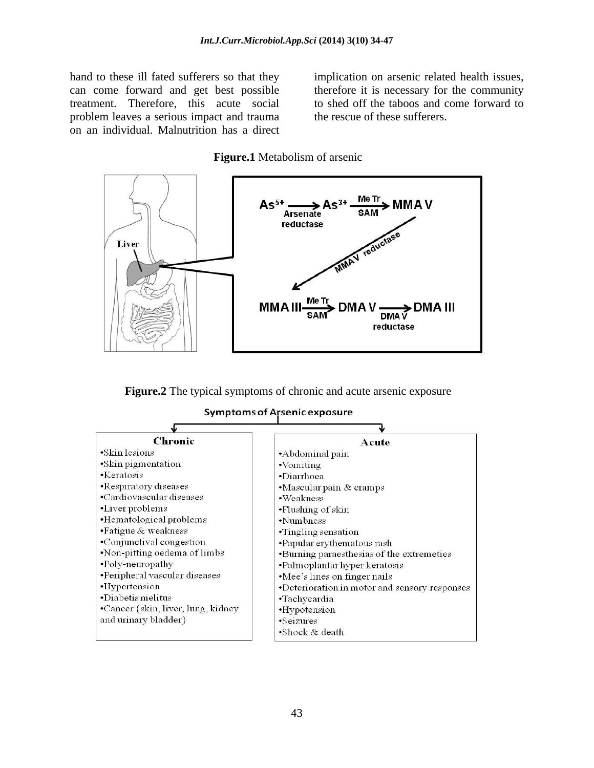hand to these ill fated sufferers so that they implication on arsenic related health issues, problem leaves a serious impact and trauma on an individual. Malnutrition has a direct

can come forward and get best possible therefore it is necessary for the community treatment. Therefore, this acute social to shed off the taboos and come forward to the rescue of these sufferers.

### **Figure.1** Metabolism of arsenic



**Figure.2** The typical symptoms of chronic and acute arsenic exposure

Symptoms of Arsenic exposure

| Chronic                            | Acute                                         |
|------------------------------------|-----------------------------------------------|
| •Skin lesions                      | •Abdominal pain                               |
| •Skin pigmentation                 | $\cdot$ Vomiting                              |
| $\cdot$ Keratosis                  | •Diarrhoea                                    |
| •Respiratory diseases              | •Mascular pain & cramps                       |
| •Cardiovascular diseases           | $\cdot$ Weakness                              |
| •Liver problems                    | •Flushing of skin                             |
| •Hematological problems            | •Numbness                                     |
| •Fatigue & weakness                | •Tingling sensation                           |
| •Conjunctival congestion           | •Papular erythematous rash                    |
| •Non-pitting oedema of limbs       | •Burning paraesthesias of the extremeties     |
| •Poly-neuropathy                   | •Palmoplantar hyper keratosis                 |
| •Peripheral vascular diseases      | •Mee's lines on finger nails                  |
| •Hypertension                      | •Deterioration in motor and sensory responses |
| $\cdot$ Diabetis melitus           | •Tachycardia                                  |
| •Cancer {skin, liver, lung, kidney | •Hypotension                                  |
| and urinary bladder }              | •Seizures                                     |
|                                    | •Shock $&$ death                              |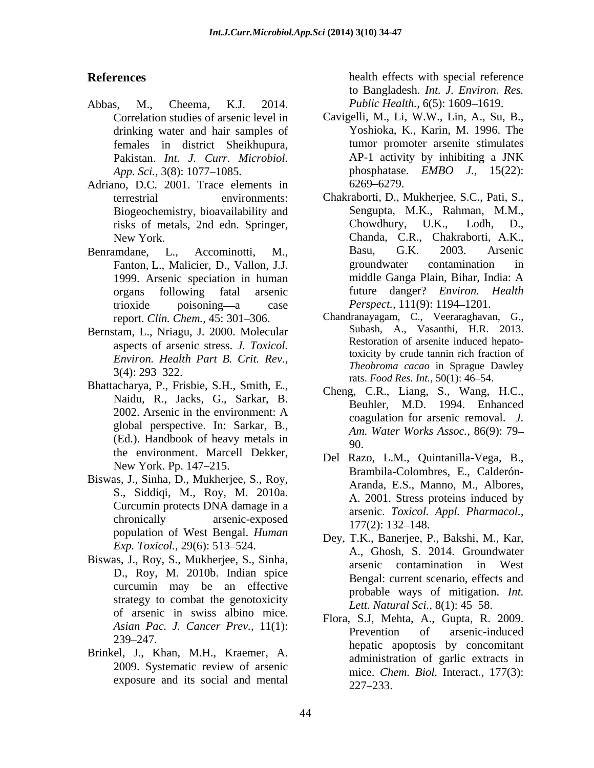- Abbas, M., Cheema, K.J. 2014. *Public Health.,* 6(5): 1609 1619. drinking water and hair samples of females in district Sheikhupura,
- Adriano, D.C. 2001. Trace elements in 6269–6279. Biogeochemistry, bioavailability and
- 
- Bernstam, L., Nriagu, J. 2000. Molecular aspects of arsenic stress. *J. Toxicol. Environ. Health Part B. Crit. Rev.,*
- Bhattacharya, P., Frisbie, S.H., Smith, E., Naidu, R., Jacks, G., Sarkar, B. the environment. Marcell Dekker,<br>New York. Pp. 147–215.  $\begin{array}{ccc} \text{Dei} & \text{Razo}, & \text{L.M.,} & \text{Quintanilla-Vega}, & \text{B.} \\ \text{B.} & \text{B.} & \text{B.} & \text{B.} \end{array}$
- Biswas, J., Sinha, D., Mukherjee, S., Roy, population of West Bengal. *Human*
- curcumin may be an effective strategy to combat the genotoxicity of arsenic in swiss albino mice.
- Brinkel, J., Khan, M.H., Kraemer, A. 2009. Systematic review of arsenic exposure and its social and mental  $227-233$ .

**References** health effects with special reference to Bangladesh. *Int. J. Environ. Res.*

- Correlation studies of arsenic level in Cavigelli, M., Li, W.W., Lin, A., Su, B., Pakistan. *Int. J. Curr. Microbiol. App. Sci.,* 3(8): 1077 1085. phosphatase. *EMBO J.,* 15(22): Yoshioka, K., Karin, M. 1996. The tumor promoter arsenite stimulates AP-1 activity by inhibiting a JNK 6269 6279.
- terrestrial environments: Chakraborti, D., Mukherjee, S.C., Pati, S., risks of metals, 2nd edn. Springer, New York. Chanda, C.R., Chakraborti, A.K., Benramdane, L., Accominotti, M., Basu, G.K. 2003. Arsenic Fanton, L., Malicier, D., Vallon, J.J. 1999. Arsenic speciation in human organs following fatal arsenic future danger? *Environ. Health* trioxide poisoning a case *Perspect.,* 111(9): 1194 1201. Sengupta, M.K., Rahman, M.M.,  $Chowdhury, U.K.,$ Basu, G.K. 2003. Arsenic groundwater contamination in middle Ganga Plain, Bihar, India: A
	- report. *Clin. Chem.*, 45: 301–306. Chandranayagam, C., Veeraraghavan, G.,  $3(4)$ : 293–322. Subash, A., Vasanthi, H.R. 2013. Restoration of arsenite induced hepatotoxicity by crude tannin rich fraction of *Theobroma cacao* in Sprague Dawley rats. *Food Res. Int.*, 50(1): 46-54.
	- 2002. Arsenic in the environment: A  $\qquad \qquad \text{equation for a region removal}$ global perspective. In: Sarkar, B.,<br>(Ed.). Handbook of heavy metals in  $Am. Water Works Assoc., 86(9): 79-$ Cheng, C.R., Liang, S., Wang, H.C., Beuhler, M.D. 1994. Enhanced coagulation for arsenic removal. *J. Am. Water Works Assoc.,* 86(9): 79 90.
	- S., Siddiqi, M., Roy, M. 2010a.<br>Curcumin protects DNA damage in a creative argue *Corical And Pharmacol* chronically arsenic-exposed  $\frac{177(7)}{177(7)}$  132 148 Del Razo, L.M., Quintanilla-Vega, B., Brambila-Colombres, E., Calderón- Aranda, E.S., Manno, M., Albores, A. 2001. Stress proteins induced by arsenic. *Toxicol. Appl. Pharmacol.,*  $177(2)$ : 132–148.
- *Exp. Toxicol.,* 29(6): 513–524. **Exp. Exp. Exp. Exp. Exp. Exp. Exp. Exp. Exp. Exp. Exp. Exp. Exp. Exp. Exp. Exp. Exp. Exp. Exp. Exp. Exp. Exp. Exp. Exp. Exp. Exp. Exp.** Biswas, J., Roy, S., Mukherjee, S., Sinha, arsenic contamination in West<br>D., Roy, M. 2010b. Indian spice Bengal: current scenario effects and Dey, T.K., Banerjee, P., Bakshi, M., Kar, arsenic contamination in West Bengal: current scenario, effects and probable ways of mitigation. *Int. Lett. Natural Sci.*, 8(1): 45–58.
	- *Asian Pac. J. Cancer Prev.,* 11(1): 239 247. hepatic apoptosis by concomitant Flora, S.J, Mehta, A., Gupta, R. 2009. Prevention of arsenic-induced administration of garlic extracts in mice. *Chem. Biol.* Interact*.,* 177(3): 227 233.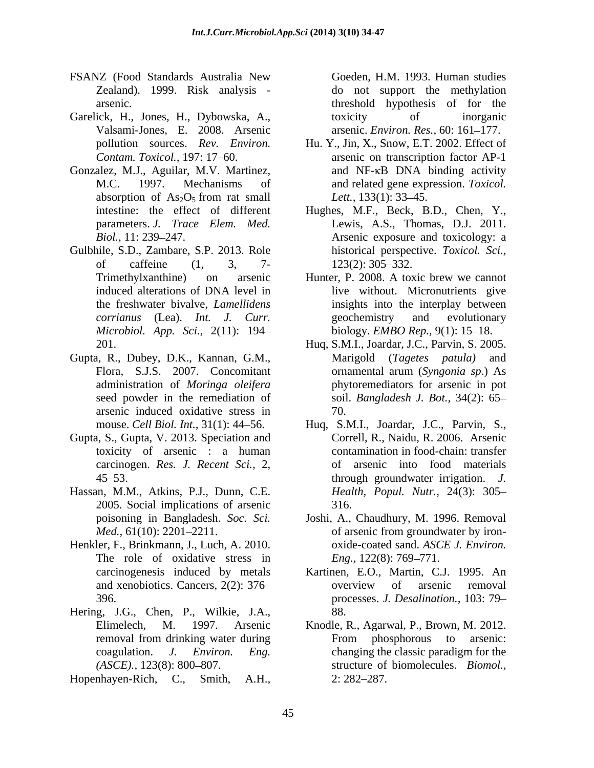- FSANZ (Food Standards Australia New Goeden, H.M. 1993. Human studies
- Garelick, H., Jones, H., Dybowska, A., toxicity of inorganic
- Gonzalez, M.J., Aguilar, M.V. Martinez,
- Gulbhile, S.D., Zambare, S.P. 2013. Role historical perspective. *Toxicol. Sci., Microbiol. App. Sci.,* 2(11): 194 Hopenhayen-Rich, C., Smith, A.H., Goeden, H.M. 1993. Human studies
- Gupta, R., Dubey, D.K., Kannan, G.M., arsenic induced oxidative stress in
- Gupta, S., Gupta, V. 2013. Speciation and toxicity of arsenic : a human
- Hassan, M.M., Atkins, P.J., Dunn, C.E. 2005. Social implications of arsenic
- Henkler, F., Brinkmann, J., Luch, A. 2010. oxide-coated sand. ASCE J. Environ. The role of oxidative stress in  $Eng., 122(8): 769-771.$
- Hering, J.G., Chen, P., Wilkie, J.A.,
- 

Zealand). 1999. Risk analysis - do not support the methylation arsenic. threshold hypothesis of for the Valsami-Jones, E. 2008. Arsenic arsenic. *Environ. Res.,* 60: 161 177. toxicity of inorganic

- pollution sources. *Rev. Environ.* Hu. Y., Jin, X., Snow, E.T. 2002. Effect of Contam. Toxicol., 197: 17–60. <br>Contam. Toxicol., 197: 17–60. **Exercise** arsenic on transcription factor AP-1 M.C. 1997. Mechanisms of and related gene expression. *Toxicol.* absorption of  $As_2O_5$  from rat small *Lett.*, 133(1): 33–45. Hu. Y., Jin, X., Snow, E.T. 2002. Effect of arsenic on transcription factor AP-1 and  $NF-\kappa B$  DNA binding activity *Lett.*, 133(1): 33–45.
- intestine: the effect of different Hughes, M.F., Beck, B.D., Chen, Y., parameters. *J. Trace Elem. Med.* Lewis, A.S., Thomas, D.J. 2011. Biol., 11: 239–247. of caffeine (1, 3, 7- 123(2): 305–332. 123(2): 305–332.
- Trimethylxanthine) on arsenic Hunter, P. 2008. A toxic brew we cannot induced alterations of DNA level in live without. Micronutrients give the freshwater bivalve, *Lamellidens*  insights into the interplay between *corrianus* (Lea). *Int. J. Curr.* geochemistry and evolutionary biology. *EMBO Rep.*, 9(1): 15-18.
- 201. Huq, S.M.I., Joardar, J.C., Parvin, S. 2005. Flora, S.J.S. 2007. Concomitant commental arum (Syngonia sp.) As administration of *Moringa oleifera* phytoremediators for arsenic in pot seed powder in the remediation of soil. *Bangladesh J. Bot.,* 34(2): 65 Marigold (*Tagetes patula)* and ornamental arum (*Syngonia sp*.) As 70.
- mouse. *Cell Biol. Int.,* 31(1): 44 56. Huq, S.M.I., Joardar, J.C., Parvin, S., carcinogen. *Res. J. Recent Sci.,* 2, of arsenic into food materials 45 53. through groundwater irrigation. *J.* Correll, R., Naidu, R. 2006. Arsenic contamination in food-chain: transfer *Health, Popul. Nutr.,* 24(3): 305 316.
- poisoning in Bangladesh. *Soc. Sci.* Joshi, A., Chaudhury, M. 1996. Removal *Med.*, 61(10): 2201–2211. of arsenic from groundwater by ironof arsenic from groundwater by iron oxide-coated sand. *ASCE J. Environ.*<br>*Eng.*, 122(8): 769–771.
- carcinogenesis induced by metals Kartinen, E.O., Martin, C.J. 1995. An and xenobiotics. Cancers, 2(2): 376– overview of arsenic removal 396. processes. *J. Desalination.,* 103: 79 overview of arsenic removal 88.
- Elimelech, M. 1997. Arsenic Knodle, R., Agarwal, P., Brown, M. 2012. removal from drinking water during From phosphorous to arsenic: coagulation. *J. Environ. Eng.* changing the classic paradigm for the *(ASCE).,* 123(8): 800–807. <br> **Subset of biomolecules.** *Biomol.,* From phosphorous to arsenic: structure of biomolecules. *Biomol.*,<br>2: 282–287.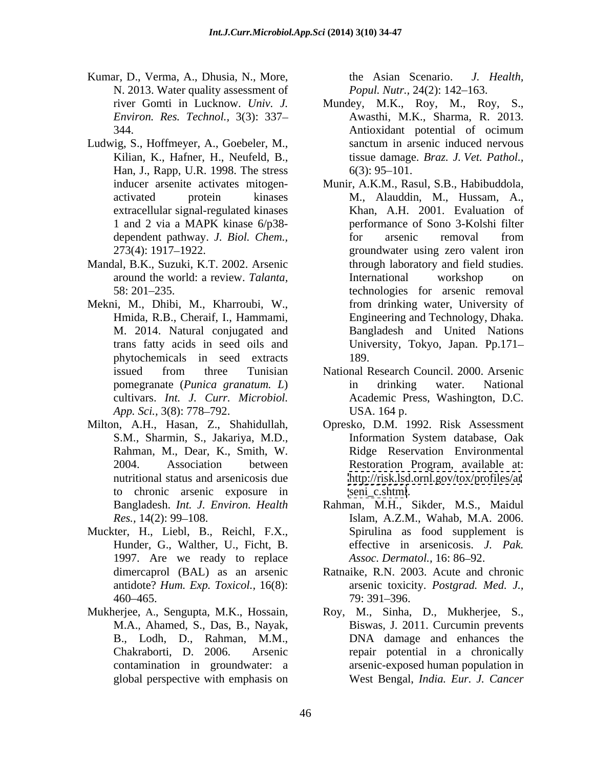- Kumar, D., Verma, A., Dhusia, N., More, the Asian Scenario. J. Health, N. 2013. Water quality assessment of
- Ludwig, S., Hoffmeyer, A., Goebeler, M., sanctum in arsenic induced nervous<br>Kilian, K., Hafner, H., Neufeld, B., issue damage. *Braz. J. Vet. Pathol.*, Han, J., Rapp, U.R. 1998. The stress 6(3): 95–101. extracellular signal-regulated kinases
- Mandal, B.K., Suzuki, K.T. 2002. Arsenic
- Mekni, M., Dhibi, M., Kharroubi, W., from drinking water, University of Hmida, R.B., Cheraif, I., Hammami, Engineering and Technology, Dhaka. phytochemicals in seed extracts cultivars. *Int. J. Curr. Microbiol.*
- to chronic arsenic exposure in
- Muckter, H., Liebl, B., Reichl, F.X., Hunder, G., Walther, U., Ficht, B. 1997. Are we ready to replace *Assoc. Dermatol.*, 16:86–92.
- 

the Asian Scenario. *J. Health, Popul. Nutr., 24(2): 142-163.* 

- river Gomti in Lucknow. *Univ. J.* Mundey, M.K., Roy, M., Roy, S., Environ. Res. Technol., 3(3): 337– Awasthi, M.K., Sharma, R. 2013. *Environ. Res. Technol.,* 3(3): 337 344. Antioxidant potential of ocimum Antioxidant potential of ocimum sanctum in arsenic induced nervous tissue damage. *Braz. J. Vet. Pathol.,*  $6(3)$ : 95-101.
- inducer arsenite activates mitogen-<br>
activated protein kinases M., Alauddin, M., Hussam, A., activated protein kinases M., Alauddin, M., Hussam, A., 1 and 2 via a MAPK kinase 6/p38 dependent pathway. *J. Biol. Chem.,* 273(4): 1917 1922. groundwater using zero valent iron around the world: a review. *Talanta,* 58: 201 235. technologies for arsenic removal M. 2014. Natural conjugated and Bangladesh and United Nations trans fatty acids in seed oils and University, Tokyo, Japan. Pp.171 Khan, A.H. 2001. Evaluation of performance of Sono 3-Kolshi filter for arsenic removal from through laboratory and field studies. International workshop on from drinking water, University of Engineering and Technology, Dhaka. 189.
- issued from three Tunisian Mational Research Council. 2000. Arsenic pomegranate (*Punica granatum. L*) *App. Sci.*, 3(8): 778–792. USA. 164 p. National Research Council. 2000. Arsenic in drinking water. National Academic Press, Washington, D.C. USA. 164 p.
- Milton, A.H., Hasan, Z., Shahidullah, S.M., Sharmin, S., Jakariya, M.D., Rahman, M., Dear, K., Smith, W. 2004. Association between Restoration Program, available at: nutritional status and arsenicosis due <http://risk.lsd.ornl.gov/tox/profiles/ar> Opresko, D.M. 1992. Risk Assessment Information System database, Oak Ridge Reservation Environmental [seni\\_c.shtml](seni_c.shtml).
	- Bangladesh. *Int. J. Environ. Health*  Rahman, M.H., Sikder, M.S., Maidul *Res.*, 14(2): 99–108. Islam, A.Z.M., Wahab, M.A. 2006. Spirulina as food supplement is effective in arsenicosis. *J. Pak. Assoc. Dermatol.,* 16: 86–92.
	- dimercaprol (BAL) as an arsenic Ratnaike, R.N. 2003. Acute and chronic antidote? *Hum. Exp. Toxicol.,* 16(8): arsenic toxicity. *Postgrad. Med. J.,*  $460-465.$   $79:391-396.$ 79: 391 396.
- Mukherjee, A., Sengupta, M.K., Hossain, M.C., M., Sinha, D., Mukherjee, S., M.A., Ahamed, S., Das, B., Nayak, Biswas, J. 2011. Curcumin prevents B., Lodh, D., Rahman, M.M., DNA damage and enhances the Chakraborti, D. 2006. Arsenic b repair potential in a chronically contamination in groundwater: a arsenic-exposed human population in global perspective with emphasis on West Bengal, *India. Eur. J. Cancer*Roy, M., Sinha, D., Mukherjee, S., Biswas, J. 2011. Curcumin prevents DNA damage and enhances the